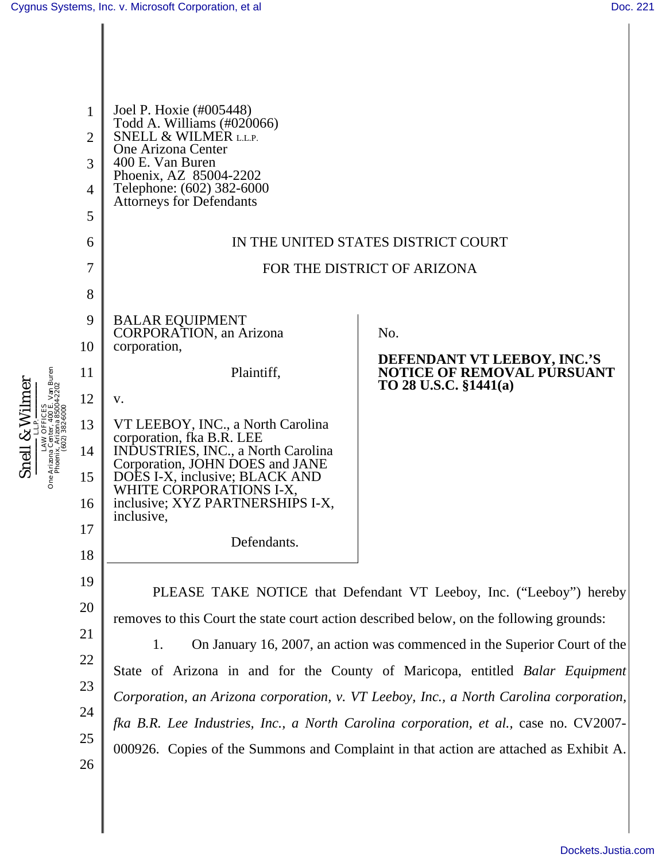Snell & Wilmer  $\textbf{\textcolor{red}{\textbf{Snell}}} \xrightarrow{\textbf{R}} \textbf{Wilmer} \\\textbf{\textcolor{red}{\textbf{on}}}\xrightarrow{\textbf{LIN}} \textbf{\textcolor{red}{\textbf{Or}FICES}} \textbf{\textcolor{red}{\textbf{Con}}}\xrightarrow{\textbf{Ritons} Center, 400 E, Van Buren} \textbf{\textcolor{red}{\textbf{O}}}\xrightarrow{\textbf{\textcolor{red}{\textbf{Pro}FICES}}}\textbf{\textcolor{red}{\textbf{P}}}\xrightarrow{\textbf{\textcolor{red}{\textbf{Pro}FICES}}}\textbf{\textcolor{red}{\textbf{P}}}\xrightarrow{\textbf{\textcolor{red}{\$ LAW OFFICES One Arizona Center, 400 E. Van Buren Phoenix, Arizona 85004-2202 (602) 382-6000

| $\mathbf{1}$<br>$\overline{2}$<br>3<br>4<br>5<br>6 | Joel P. Hoxie (#005448)<br>Todd A. Williams (#020066)<br>SNELL & WILMER L.L.P.<br>One Arizona Center<br>400 E. Van Buren<br>Phoenix, AZ 85004-2202<br>Telephone: (602) 382-6000<br><b>Attorneys for Defendants</b>                                                          | IN THE UNITED STATES DISTRICT COURT                                                                                                                                                                                                                                                                                                                                                                                                                                                                                                                                                                     |
|----------------------------------------------------|-----------------------------------------------------------------------------------------------------------------------------------------------------------------------------------------------------------------------------------------------------------------------------|---------------------------------------------------------------------------------------------------------------------------------------------------------------------------------------------------------------------------------------------------------------------------------------------------------------------------------------------------------------------------------------------------------------------------------------------------------------------------------------------------------------------------------------------------------------------------------------------------------|
| 7<br>8                                             |                                                                                                                                                                                                                                                                             | FOR THE DISTRICT OF ARIZONA                                                                                                                                                                                                                                                                                                                                                                                                                                                                                                                                                                             |
| 9<br>10<br>11                                      | <b>BALAR EQUIPMENT</b><br><b>CORPORATION</b> , an Arizona<br>corporation,<br>Plaintiff,                                                                                                                                                                                     | No.<br>DEFENDANT VT LEEBOY, INC.'S<br><b>NOTICE OF REMOVAL PÚRSUANT</b><br>TO 28 U.S.C. §1441(a)                                                                                                                                                                                                                                                                                                                                                                                                                                                                                                        |
| 12<br>13<br>14<br>15<br>16<br>17<br>18             | V.<br>VT LEEBOY, INC., a North Carolina<br>corporation, fka B.R. LEE<br>INDUSTRIES, INC., a North Carolina<br>Corporation, JOHN DOES and JANE<br>DOES I-X, inclusive; BLACK AND<br>WHITE CORPORATIONS I-X,<br>inclusive; XYZ PARTNERSHIPS I-X,<br>inclusive,<br>Defendants. |                                                                                                                                                                                                                                                                                                                                                                                                                                                                                                                                                                                                         |
| 19<br>20<br>21<br>22<br>23<br>24<br>25<br>26       | 1.                                                                                                                                                                                                                                                                          | PLEASE TAKE NOTICE that Defendant VT Leeboy, Inc. ("Leeboy") hereby<br>removes to this Court the state court action described below, on the following grounds:<br>On January 16, 2007, an action was commenced in the Superior Court of the<br>State of Arizona in and for the County of Maricopa, entitled Balar Equipment<br>Corporation, an Arizona corporation, v. VT Leeboy, Inc., a North Carolina corporation,<br>fka B.R. Lee Industries, Inc., a North Carolina corporation, et al., case no. CV2007-<br>000926. Copies of the Summons and Complaint in that action are attached as Exhibit A. |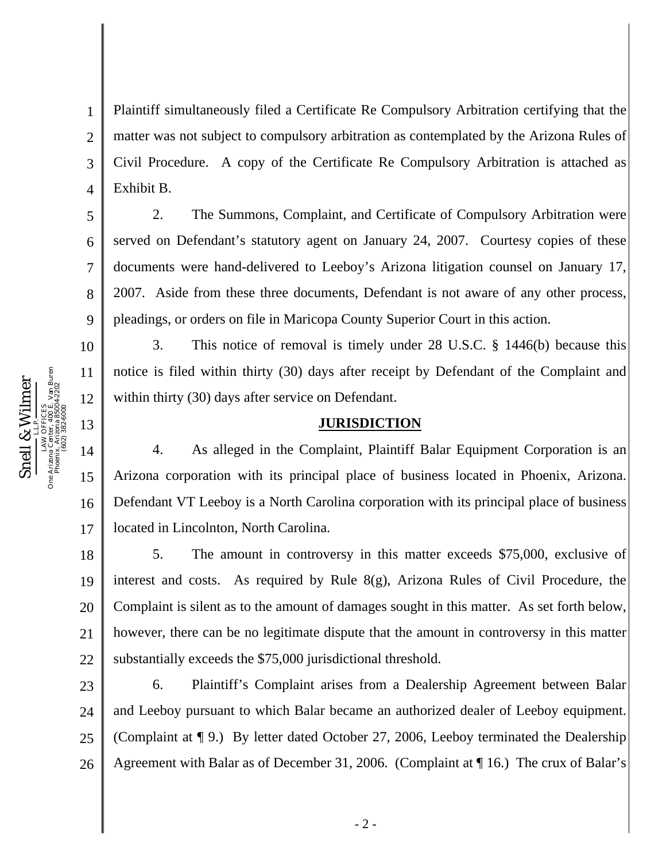One Arizona Center, 400 E. Van Buren Snell & Wilmer Phoenix, Arizona 85004-2202 Snell & Wilme LAW OFFICES (602) 382-6000 One Arizona (<br>Phoenix.

5

6

7

8

9

10

11

12

13

15

16

17

1 2 3 4 Plaintiff simultaneously filed a Certificate Re Compulsory Arbitration certifying that the matter was not subject to compulsory arbitration as contemplated by the Arizona Rules of Civil Procedure. A copy of the Certificate Re Compulsory Arbitration is attached as Exhibit B.

2. The Summons, Complaint, and Certificate of Compulsory Arbitration were served on Defendant's statutory agent on January 24, 2007. Courtesy copies of these documents were hand-delivered to Leeboy's Arizona litigation counsel on January 17, 2007. Aside from these three documents, Defendant is not aware of any other process, pleadings, or orders on file in Maricopa County Superior Court in this action.

3. This notice of removal is timely under 28 U.S.C. § 1446(b) because this notice is filed within thirty (30) days after receipt by Defendant of the Complaint and within thirty (30) days after service on Defendant.

## **JURISDICTION**

14 4. As alleged in the Complaint, Plaintiff Balar Equipment Corporation is an Arizona corporation with its principal place of business located in Phoenix, Arizona. Defendant VT Leeboy is a North Carolina corporation with its principal place of business located in Lincolnton, North Carolina.

18 19 20 21 22 5. The amount in controversy in this matter exceeds \$75,000, exclusive of interest and costs. As required by Rule 8(g), Arizona Rules of Civil Procedure, the Complaint is silent as to the amount of damages sought in this matter. As set forth below, however, there can be no legitimate dispute that the amount in controversy in this matter substantially exceeds the \$75,000 jurisdictional threshold.

23 24 25 26 6. Plaintiff's Complaint arises from a Dealership Agreement between Balar and Leeboy pursuant to which Balar became an authorized dealer of Leeboy equipment. (Complaint at ¶ 9.) By letter dated October 27, 2006, Leeboy terminated the Dealership Agreement with Balar as of December 31, 2006. (Complaint at ¶ 16.) The crux of Balar's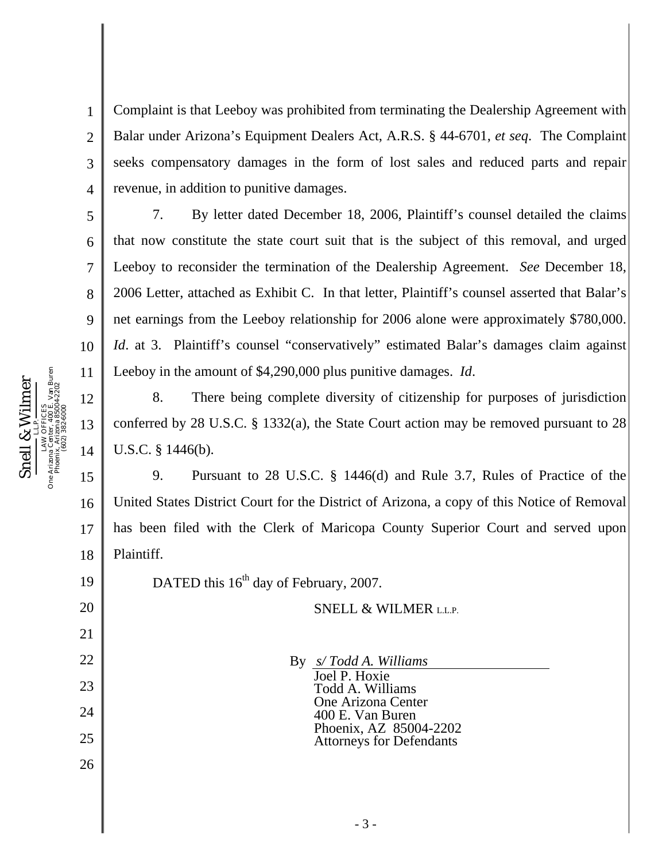Complaint is that Leeboy was prohibited from terminating the Dealership Agreement with Balar under Arizona's Equipment Dealers Act, A.R.S. § 44-6701, *et seq*. The Complaint seeks compensatory damages in the form of lost sales and reduced parts and repair revenue, in addition to punitive damages.

7. By letter dated December 18, 2006, Plaintiff's counsel detailed the claims that now constitute the state court suit that is the subject of this removal, and urged Leeboy to reconsider the termination of the Dealership Agreement. *See* December 18, 2006 Letter, attached as Exhibit C. In that letter, Plaintiff's counsel asserted that Balar's net earnings from the Leeboy relationship for 2006 alone were approximately \$780,000. *Id.* at 3. Plaintiff's counsel "conservatively" estimated Balar's damages claim against Leeboy in the amount of \$4,290,000 plus punitive damages. *Id*.

8. There being complete diversity of citizenship for purposes of jurisdiction conferred by 28 U.S.C. § 1332(a), the State Court action may be removed pursuant to 28 U.S.C. § 1446(b).

9. Pursuant to 28 U.S.C. § 1446(d) and Rule 3.7, Rules of Practice of the United States District Court for the District of Arizona, a copy of this Notice of Removal has been filed with the Clerk of Maricopa County Superior Court and served upon Plaintiff.

SNELL & WILMER L.L.P.

DATED this  $16<sup>th</sup>$  day of February, 2007.

> 25 26

By *s/ Todd A. Williams*  Joel P. Hoxie Todd A. Williams One Arizona Center 400 E. Van Buren Phoenix, AZ 85004-2202 Attorneys for Defendants

One Arizona Center, 400 E. Van Buren Snell & Wilmer Phoenix, Arizona 85004-2202 Snell & Wilmer LAW OFFICES (602) 382-6000 LAW OFFIC<br>One Arizona Center, 40<br>Phoenix, Arizona 8<br>(602) 382-6 1

2

3

4

5

6

7

8

9

10

11

12

13

14

15

16

17

18

19